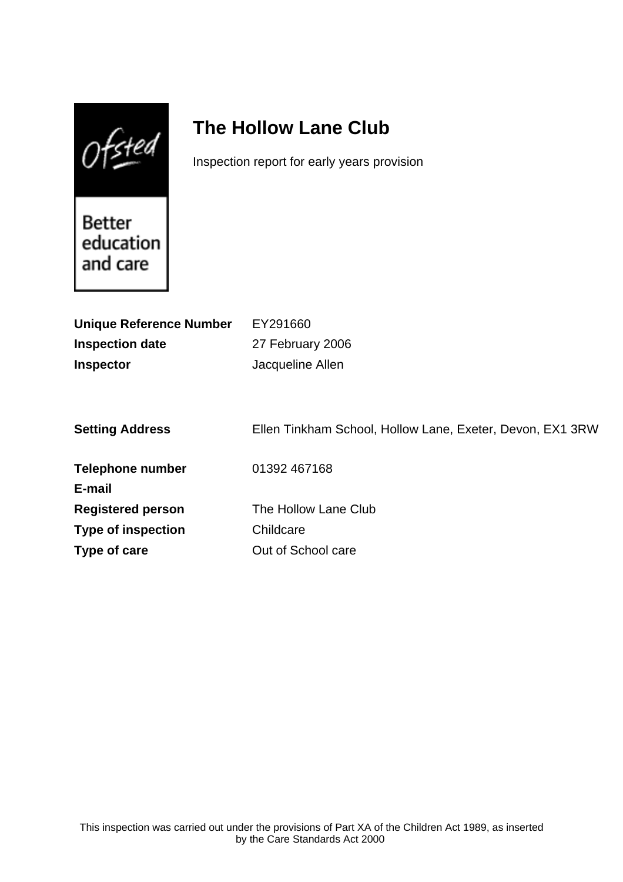$0$ fsted

# **The Hollow Lane Club**

Inspection report for early years provision

Better education and care

| <b>Unique Reference Number</b> | EY291660                                                  |
|--------------------------------|-----------------------------------------------------------|
| <b>Inspection date</b>         | 27 February 2006                                          |
| <b>Inspector</b>               | Jacqueline Allen                                          |
|                                |                                                           |
|                                |                                                           |
| <b>Setting Address</b>         | Ellen Tinkham School, Hollow Lane, Exeter, Devon, EX1 3RW |
|                                |                                                           |
| <b>Telephone number</b>        | 01392 467168                                              |
| E-mail                         |                                                           |
| <b>Registered person</b>       | The Hollow Lane Club                                      |
| <b>Type of inspection</b>      | Childcare                                                 |
| Type of care                   | Out of School care                                        |
|                                |                                                           |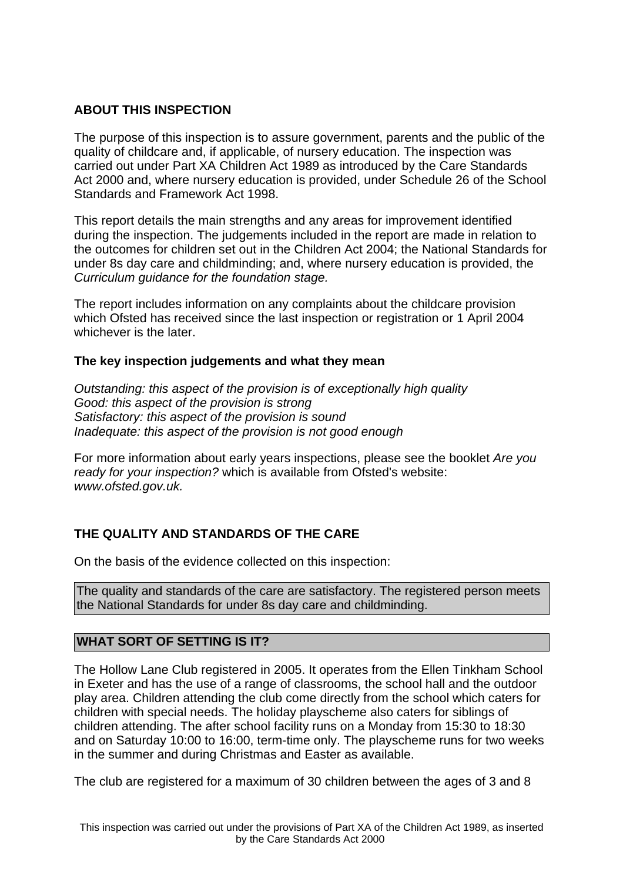## **ABOUT THIS INSPECTION**

The purpose of this inspection is to assure government, parents and the public of the quality of childcare and, if applicable, of nursery education. The inspection was carried out under Part XA Children Act 1989 as introduced by the Care Standards Act 2000 and, where nursery education is provided, under Schedule 26 of the School Standards and Framework Act 1998.

This report details the main strengths and any areas for improvement identified during the inspection. The judgements included in the report are made in relation to the outcomes for children set out in the Children Act 2004; the National Standards for under 8s day care and childminding; and, where nursery education is provided, the Curriculum guidance for the foundation stage.

The report includes information on any complaints about the childcare provision which Ofsted has received since the last inspection or registration or 1 April 2004 whichever is the later.

## **The key inspection judgements and what they mean**

Outstanding: this aspect of the provision is of exceptionally high quality Good: this aspect of the provision is strong Satisfactory: this aspect of the provision is sound Inadequate: this aspect of the provision is not good enough

For more information about early years inspections, please see the booklet Are you ready for your inspection? which is available from Ofsted's website: www.ofsted.gov.uk.

# **THE QUALITY AND STANDARDS OF THE CARE**

On the basis of the evidence collected on this inspection:

The quality and standards of the care are satisfactory. The registered person meets the National Standards for under 8s day care and childminding.

## **WHAT SORT OF SETTING IS IT?**

The Hollow Lane Club registered in 2005. It operates from the Ellen Tinkham School in Exeter and has the use of a range of classrooms, the school hall and the outdoor play area. Children attending the club come directly from the school which caters for children with special needs. The holiday playscheme also caters for siblings of children attending. The after school facility runs on a Monday from 15:30 to 18:30 and on Saturday 10:00 to 16:00, term-time only. The playscheme runs for two weeks in the summer and during Christmas and Easter as available.

The club are registered for a maximum of 30 children between the ages of 3 and 8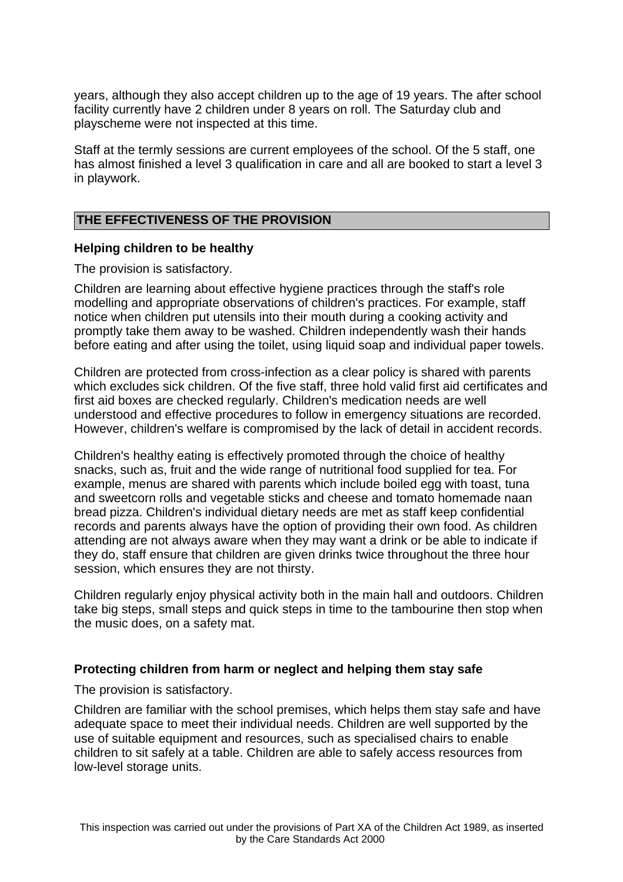years, although they also accept children up to the age of 19 years. The after school facility currently have 2 children under 8 years on roll. The Saturday club and playscheme were not inspected at this time.

Staff at the termly sessions are current employees of the school. Of the 5 staff, one has almost finished a level 3 qualification in care and all are booked to start a level 3 in playwork.

#### **THE EFFECTIVENESS OF THE PROVISION**

#### **Helping children to be healthy**

The provision is satisfactory.

Children are learning about effective hygiene practices through the staff's role modelling and appropriate observations of children's practices. For example, staff notice when children put utensils into their mouth during a cooking activity and promptly take them away to be washed. Children independently wash their hands before eating and after using the toilet, using liquid soap and individual paper towels.

Children are protected from cross-infection as a clear policy is shared with parents which excludes sick children. Of the five staff, three hold valid first aid certificates and first aid boxes are checked regularly. Children's medication needs are well understood and effective procedures to follow in emergency situations are recorded. However, children's welfare is compromised by the lack of detail in accident records.

Children's healthy eating is effectively promoted through the choice of healthy snacks, such as, fruit and the wide range of nutritional food supplied for tea. For example, menus are shared with parents which include boiled egg with toast, tuna and sweetcorn rolls and vegetable sticks and cheese and tomato homemade naan bread pizza. Children's individual dietary needs are met as staff keep confidential records and parents always have the option of providing their own food. As children attending are not always aware when they may want a drink or be able to indicate if they do, staff ensure that children are given drinks twice throughout the three hour session, which ensures they are not thirsty.

Children regularly enjoy physical activity both in the main hall and outdoors. Children take big steps, small steps and quick steps in time to the tambourine then stop when the music does, on a safety mat.

#### **Protecting children from harm or neglect and helping them stay safe**

The provision is satisfactory.

Children are familiar with the school premises, which helps them stay safe and have adequate space to meet their individual needs. Children are well supported by the use of suitable equipment and resources, such as specialised chairs to enable children to sit safely at a table. Children are able to safely access resources from low-level storage units.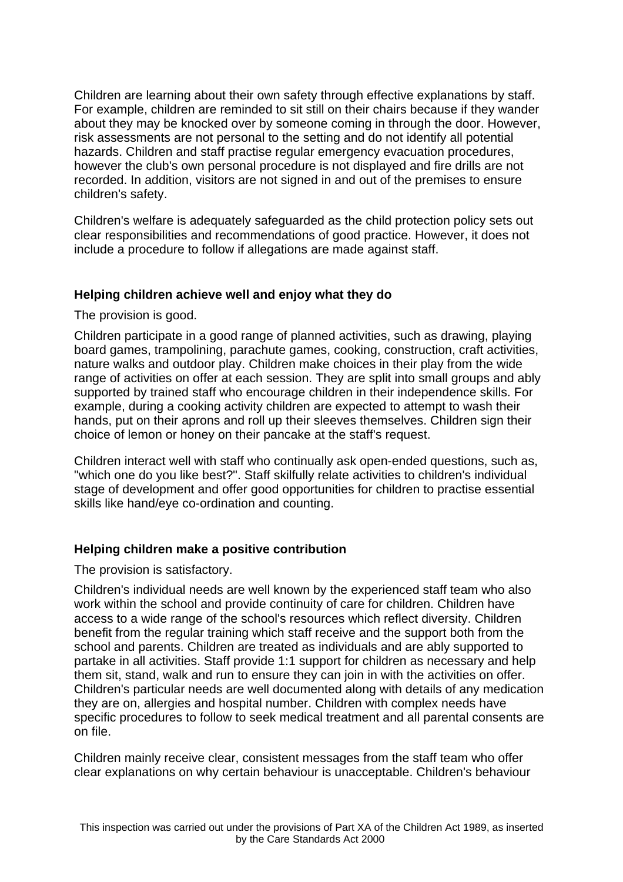Children are learning about their own safety through effective explanations by staff. For example, children are reminded to sit still on their chairs because if they wander about they may be knocked over by someone coming in through the door. However, risk assessments are not personal to the setting and do not identify all potential hazards. Children and staff practise regular emergency evacuation procedures, however the club's own personal procedure is not displayed and fire drills are not recorded. In addition, visitors are not signed in and out of the premises to ensure children's safety.

Children's welfare is adequately safeguarded as the child protection policy sets out clear responsibilities and recommendations of good practice. However, it does not include a procedure to follow if allegations are made against staff.

## **Helping children achieve well and enjoy what they do**

The provision is good.

Children participate in a good range of planned activities, such as drawing, playing board games, trampolining, parachute games, cooking, construction, craft activities, nature walks and outdoor play. Children make choices in their play from the wide range of activities on offer at each session. They are split into small groups and ably supported by trained staff who encourage children in their independence skills. For example, during a cooking activity children are expected to attempt to wash their hands, put on their aprons and roll up their sleeves themselves. Children sign their choice of lemon or honey on their pancake at the staff's request.

Children interact well with staff who continually ask open-ended questions, such as, "which one do you like best?". Staff skilfully relate activities to children's individual stage of development and offer good opportunities for children to practise essential skills like hand/eye co-ordination and counting.

## **Helping children make a positive contribution**

The provision is satisfactory.

Children's individual needs are well known by the experienced staff team who also work within the school and provide continuity of care for children. Children have access to a wide range of the school's resources which reflect diversity. Children benefit from the regular training which staff receive and the support both from the school and parents. Children are treated as individuals and are ably supported to partake in all activities. Staff provide 1:1 support for children as necessary and help them sit, stand, walk and run to ensure they can join in with the activities on offer. Children's particular needs are well documented along with details of any medication they are on, allergies and hospital number. Children with complex needs have specific procedures to follow to seek medical treatment and all parental consents are on file.

Children mainly receive clear, consistent messages from the staff team who offer clear explanations on why certain behaviour is unacceptable. Children's behaviour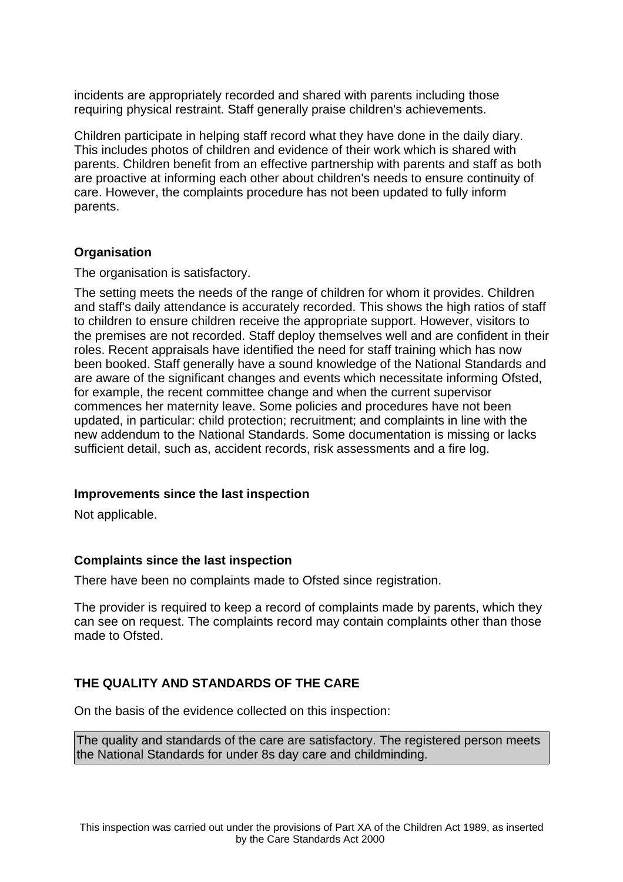incidents are appropriately recorded and shared with parents including those requiring physical restraint. Staff generally praise children's achievements.

Children participate in helping staff record what they have done in the daily diary. This includes photos of children and evidence of their work which is shared with parents. Children benefit from an effective partnership with parents and staff as both are proactive at informing each other about children's needs to ensure continuity of care. However, the complaints procedure has not been updated to fully inform parents.

## **Organisation**

The organisation is satisfactory.

The setting meets the needs of the range of children for whom it provides. Children and staff's daily attendance is accurately recorded. This shows the high ratios of staff to children to ensure children receive the appropriate support. However, visitors to the premises are not recorded. Staff deploy themselves well and are confident in their roles. Recent appraisals have identified the need for staff training which has now been booked. Staff generally have a sound knowledge of the National Standards and are aware of the significant changes and events which necessitate informing Ofsted, for example, the recent committee change and when the current supervisor commences her maternity leave. Some policies and procedures have not been updated, in particular: child protection; recruitment; and complaints in line with the new addendum to the National Standards. Some documentation is missing or lacks sufficient detail, such as, accident records, risk assessments and a fire log.

## **Improvements since the last inspection**

Not applicable.

## **Complaints since the last inspection**

There have been no complaints made to Ofsted since registration.

The provider is required to keep a record of complaints made by parents, which they can see on request. The complaints record may contain complaints other than those made to Ofsted.

# **THE QUALITY AND STANDARDS OF THE CARE**

On the basis of the evidence collected on this inspection:

The quality and standards of the care are satisfactory. The registered person meets the National Standards for under 8s day care and childminding.